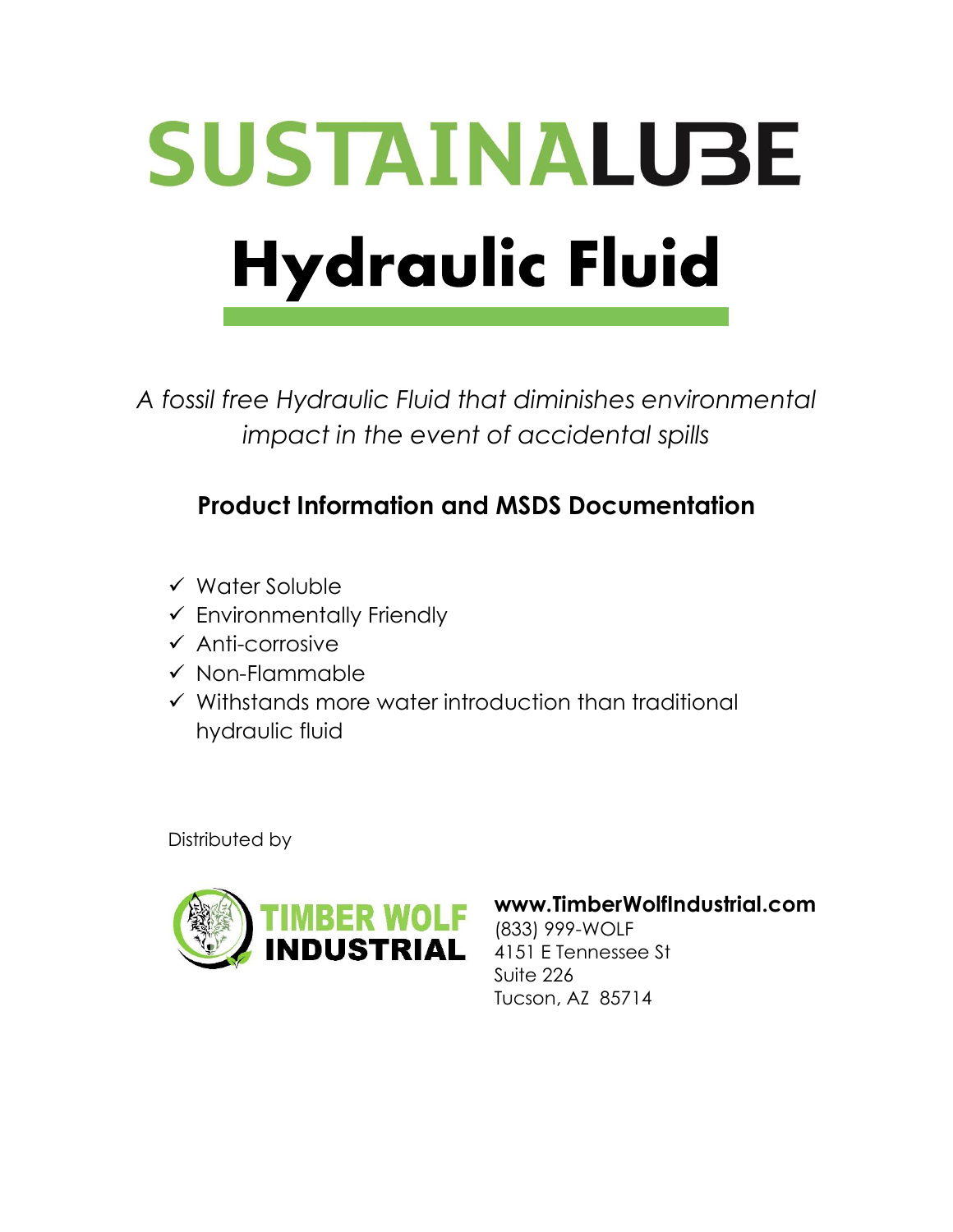# **SUSTAINALUBE Hydraulic Fluid**

*A fossil free Hydraulic Fluid that diminishes environmental impact in the event of accidental spills*

## **Product Information and MSDS Documentation**

- ✓ Water Soluble
- $\checkmark$  Environmentally Friendly
- ✓ Anti-corrosive
- ✓ Non-Flammable
- ✓ Withstands more water introduction than traditional hydraulic fluid

Distributed by



## **www.TimberWolfIndustrial.com**

(833) 999-WOLF 4151 E Tennessee St Suite 226 Tucson, AZ 85714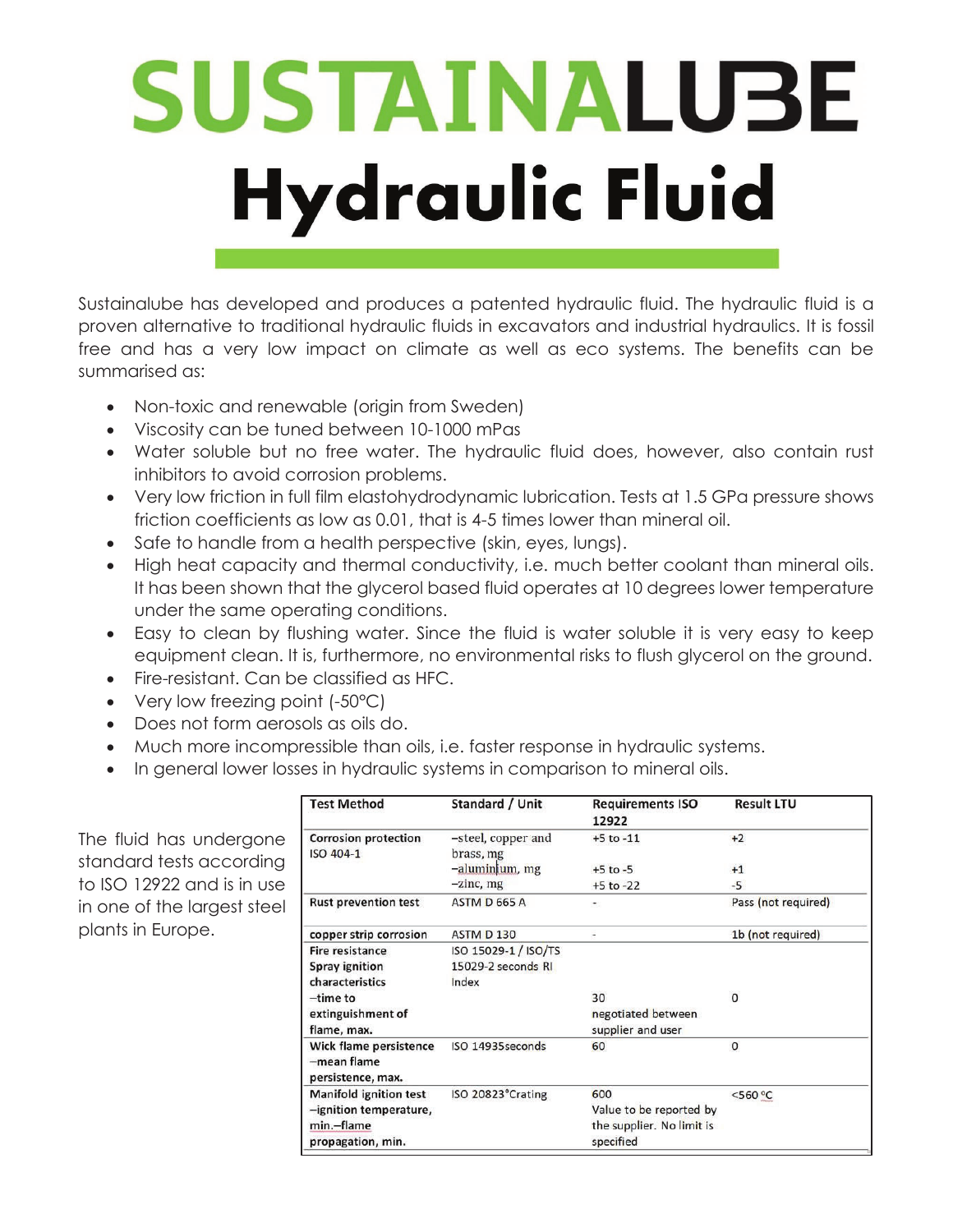## SUSTAINALUBE **Hydraulic Fluid**

Sustainalube has developed and produces a patented hydraulic fluid. The hydraulic fluid is a proven alternative to traditional hydraulic fluids in excavators and industrial hydraulics. It is fossil free and has a very low impact on climate as well as eco systems. The benefits can be summarised as:

- Non-toxic and renewable (origin from Sweden)
- Viscosity can be tuned between 10-1000 mPas
- Water soluble but no free water. The hydraulic fluid does, however, also contain rust inhibitors to avoid corrosion problems.
- x Very low friction in full film elastohydrodynamic lubrication. Tests at 1.5 GPa pressure shows friction coefficients as low as 0.01, that is 4-5 times lower than mineral oil.
- Safe to handle from a health perspective (skin, eyes, lungs).
- High heat capacity and thermal conductivity, i.e. much better coolant than mineral oils. It has been shown that the glycerol based fluid operates at 10 degrees lower temperature under the same operating conditions.
- Easy to clean by flushing water. Since the fluid is water soluble it is very easy to keep equipment clean. It is, furthermore, no environmental risks to flush glycerol on the ground.
- Fire-resistant. Can be classified as HFC.
- Very low freezing point  $(-50^{\circ}C)$
- Does not form aerosols as oils do.
- Much more incompressible than oils, i.e. faster response in hydraulic systems.
- In general lower losses in hydraulic systems in comparison to mineral oils.

The fluid has undergone standard tests according to ISO 12922 and is in use in one of the largest steel plants in Europe.

| <b>Test Method</b>                                         | Standard / Unit                 | <b>Requirements ISO</b><br>12922 | <b>Result LTU</b>   |
|------------------------------------------------------------|---------------------------------|----------------------------------|---------------------|
| <b>Corrosion protection</b><br>ISO 404-1                   | -steel, copper and<br>brass, mg | $+5$ to $-11$                    | $+2$                |
|                                                            | -aluminium, mg                  | $+5$ to $-5$                     | $+1$                |
|                                                            | $-zinc$ , mg                    | $+5$ to $-22$                    | $-5$                |
| <b>Rust prevention test</b>                                | ASTM D 665 A                    | ۰                                | Pass (not required) |
| copper strip corrosion                                     | ASTM D 130                      | ÷,                               | 1b (not required)   |
| Fire resistance                                            | ISO 15029-1 / ISO/TS            |                                  |                     |
| <b>Spray ignition</b>                                      | 15029-2 seconds RI              |                                  |                     |
| characteristics                                            | Index                           |                                  |                     |
| $-time to$                                                 |                                 | 30                               | $\Omega$            |
| extinguishment of                                          |                                 | negotiated between               |                     |
| flame, max.                                                |                                 | supplier and user                |                     |
| Wick flame persistence<br>-mean flame<br>persistence, max. | ISO 14935 seconds               | 60                               | $\mathbf{0}$        |
| <b>Manifold ignition test</b>                              | ISO 20823°Crating               | 600                              | $<$ 560 °C          |
| -ignition temperature,                                     |                                 | Value to be reported by          |                     |
| min.-flame                                                 |                                 | the supplier. No limit is        |                     |
| propagation, min.                                          |                                 | specified                        |                     |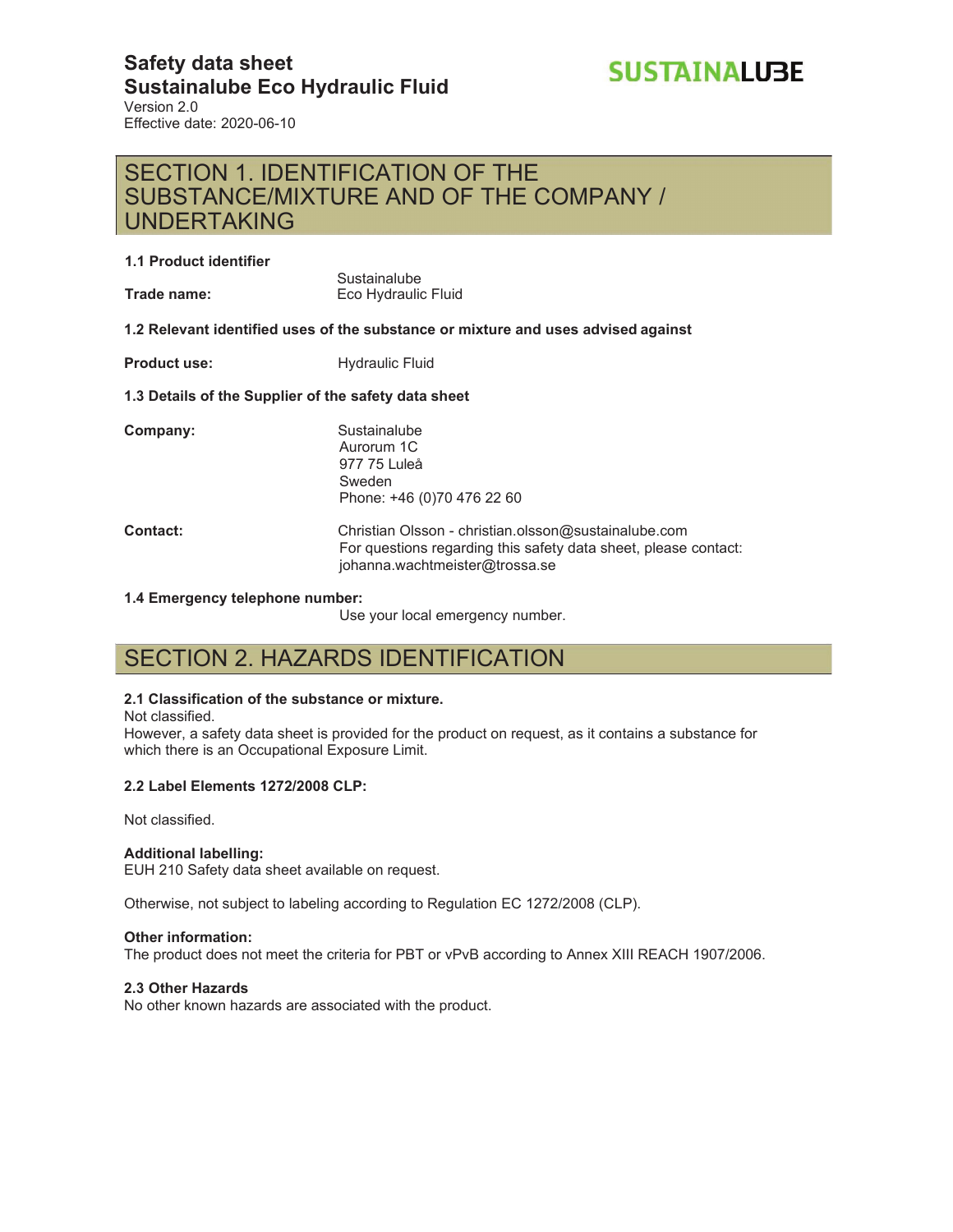#### **Safety data sheet Sustainalube Eco Hydraulic Fluid** Version 2.0 Effective date: 2020-06-10



## SECTION 1. IDENTIFICATION OF THE SUBSTANCE/MIXTURE AND OF THE COMPANY / UNDERTAKING

#### **1.1 Product identifier**

**Trade name:**

**Sustainalube** Eco Hydraulic Fluid

**1.2 Relevant identified uses of the substance or mixture and uses advised against** 

**Product use:** Hydraulic Fluid

#### **1.3 Details of the Supplier of the safety data sheet**

| Company:        | Sustainalube<br>Aurorum 1C<br>977 75 Luleå<br>Sweden<br>Phone: +46 (0)70 476 22 60                                      |
|-----------------|-------------------------------------------------------------------------------------------------------------------------|
| <b>Contact:</b> | Christian Olsson - christian.olsson@sustainalube.com<br>For questions regarding this safety data sheet, please contact: |

#### **1.4 Emergency telephone number:**

Use your local emergency number.

johanna.wachtmeister@trossa.se

## SECTION 2. HAZARDS IDENTIFICATION

#### **2.1 Classification of the substance or mixture.**

Not classified.

However, a safety data sheet is provided for the product on request, as it contains a substance for which there is an Occupational Exposure Limit.

#### **2.2 Label Elements 1272/2008 CLP:**

Not classified.

#### **Additional labelling:**

EUH 210 Safety data sheet available on request.

Otherwise, not subject to labeling according to Regulation EC 1272/2008 (CLP).

#### **Other information:**

The product does not meet the criteria for PBT or vPvB according to Annex XIII REACH 1907/2006.

#### **2.3 Other Hazards**

No other known hazards are associated with the product.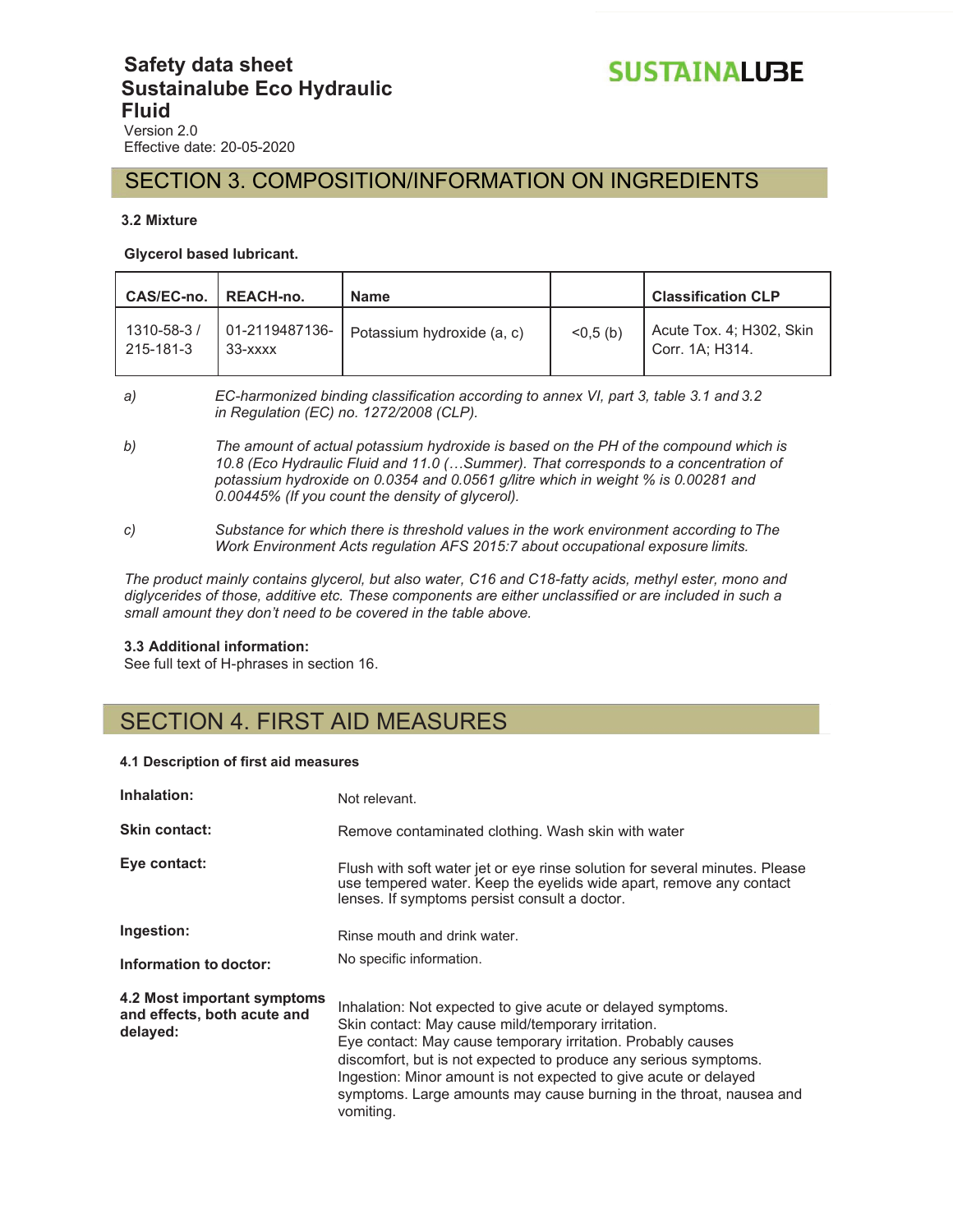### **Safety data sheet Sustainalube Eco Hydraulic Fluid** Version 2.0

Effective date: 20-05-2020

### SECTION 3. COMPOSITION/INFORMATION ON INGREDIENTS

#### **3.2 Mixture**

#### **Glycerol based lubricant.**

| CAS/EC-no.   REACH-no.  |                             | <b>Name</b>                |            | <b>Classification CLP</b>                   |
|-------------------------|-----------------------------|----------------------------|------------|---------------------------------------------|
| 1310-58-3/<br>215-181-3 | 01-2119487136-<br>$33  xxx$ | Potassium hydroxide (a, c) | $<0.5$ (b) | Acute Tox. 4; H302, Skin<br>Corr. 1A; H314. |

- *a) EC-harmonized binding classification according to annex VI, part 3, table 3.1 and 3.2 in Regulation (EC) no. 1272/2008 (CLP).*
- *b) The amount of actual potassium hydroxide is based on the PH of the compound which is 10.8 (Eco Hydraulic Fluid and 11.0 (…Summer). That corresponds to a concentration of potassium hydroxide on 0.0354 and 0.0561 g/litre which in weight % is 0.00281 and 0.00445% (If you count the density of glycerol).*
- *c) Substance for which there is threshold values in the work environment according to The Work Environment Acts regulation AFS 2015:7 about occupational exposure limits.*

*The product mainly contains glycerol, but also water, C16 and C18-fatty acids, methyl ester, mono and diglycerides of those, additive etc. These components are either unclassified or are included in such a small amount they don't need to be covered in the table above.*

#### **3.3 Additional information:**

See full text of H-phrases in section 16.

## SECTION 4. FIRST AID MEASURES

#### **4.1 Description of first aid measures**

| Inhalation:                                                            | Not relevant.                                                                                                                                                                                                                                                                                                                                                                                                 |
|------------------------------------------------------------------------|---------------------------------------------------------------------------------------------------------------------------------------------------------------------------------------------------------------------------------------------------------------------------------------------------------------------------------------------------------------------------------------------------------------|
| <b>Skin contact:</b>                                                   | Remove contaminated clothing. Wash skin with water                                                                                                                                                                                                                                                                                                                                                            |
| Eye contact:                                                           | Flush with soft water jet or eye rinse solution for several minutes. Please<br>use tempered water. Keep the eyelids wide apart, remove any contact<br>lenses. If symptoms persist consult a doctor.                                                                                                                                                                                                           |
| Ingestion:                                                             | Rinse mouth and drink water.                                                                                                                                                                                                                                                                                                                                                                                  |
| Information to doctor:                                                 | No specific information.                                                                                                                                                                                                                                                                                                                                                                                      |
| 4.2 Most important symptoms<br>and effects, both acute and<br>delayed: | Inhalation: Not expected to give acute or delayed symptoms.<br>Skin contact: May cause mild/temporary irritation.<br>Eye contact: May cause temporary irritation. Probably causes<br>discomfort, but is not expected to produce any serious symptoms.<br>Ingestion: Minor amount is not expected to give acute or delayed<br>symptoms. Large amounts may cause burning in the throat, nausea and<br>vomiting. |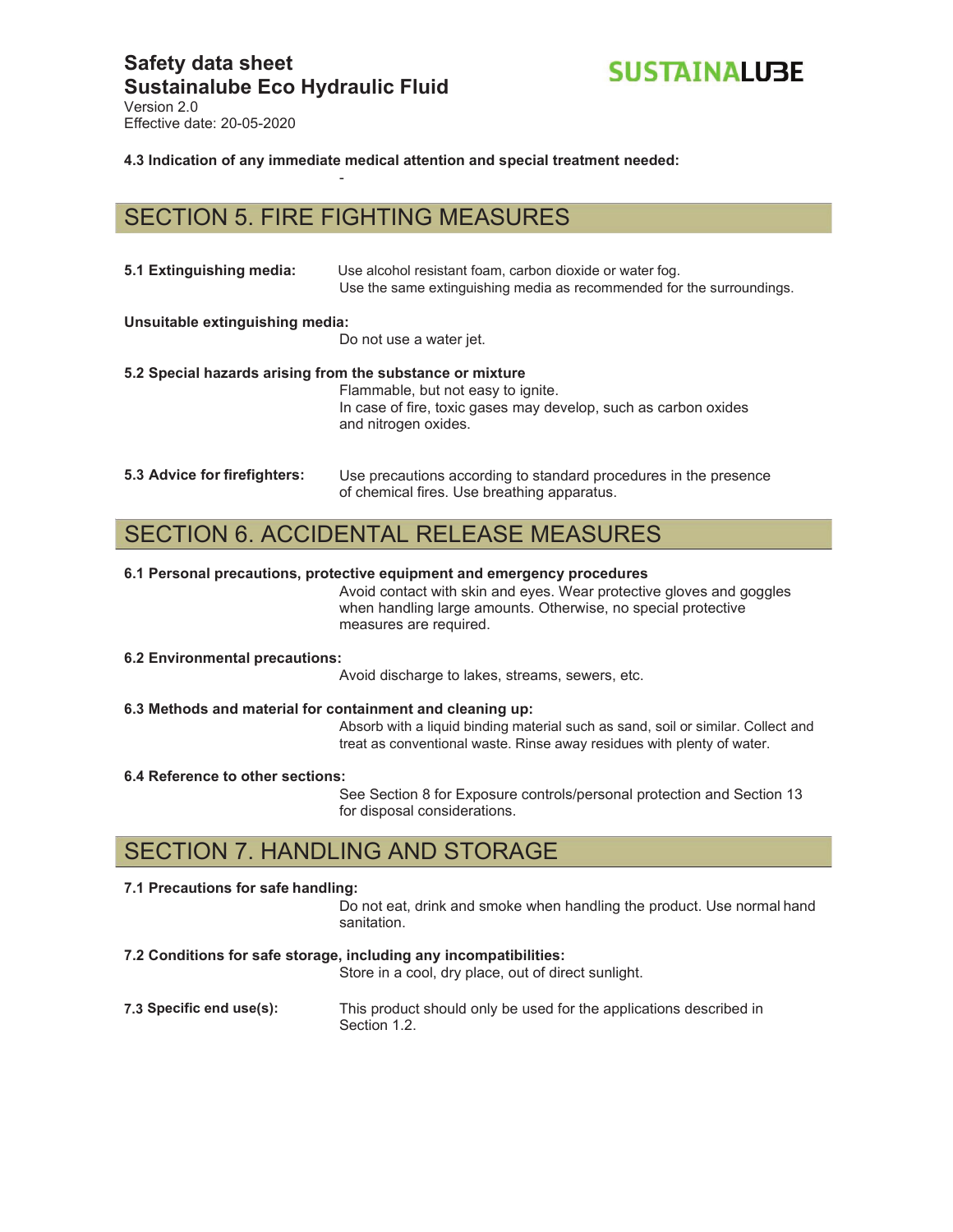

Version 2.0 Effective date: 20-05-2020

**4.3 Indication of any immediate medical attention and special treatment needed:** 

## SECTION 5. FIRE FIGHTING MEASURES

-

| 5.1 Extinguishing media:                                  | Use alcohol resistant foam, carbon dioxide or water fog.<br>Use the same extinguishing media as recommended for the surroundings. |
|-----------------------------------------------------------|-----------------------------------------------------------------------------------------------------------------------------------|
| Unsuitable extinguishing media:                           | Do not use a water jet.                                                                                                           |
| 5.2 Special hazards arising from the substance or mixture | Flammable, but not easy to ignite.<br>In case of fire, toxic gases may develop, such as carbon oxides<br>and nitrogen oxides.     |
| 5.3 Advice for firefighters:                              | Use precautions according to standard procedures in the presence<br>of chemical fires. Use breathing apparatus.                   |

## SECTION 6. ACCIDENTAL RELEASE MEASURES

#### **6.1 Personal precautions, protective equipment and emergency procedures**

Avoid contact with skin and eyes. Wear protective gloves and goggles when handling large amounts. Otherwise, no special protective measures are required.

**6.2 Environmental precautions:** 

Avoid discharge to lakes, streams, sewers, etc.

#### **6.3 Methods and material for containment and cleaning up:**

Absorb with a liquid binding material such as sand, soil or similar. Collect and treat as conventional waste. Rinse away residues with plenty of water.

#### **6.4 Reference to other sections:**

See Section 8 for Exposure controls/personal protection and Section 13 for disposal considerations.

## SECTION 7. HANDLING AND STORAGE

#### **7.1 Precautions for safe handling:**

Do not eat, drink and smoke when handling the product. Use normal hand sanitation.

#### **7.2 Conditions for safe storage, including any incompatibilities:**

Store in a cool, dry place, out of direct sunlight.

**7.3 Specific end use(s):** This product should only be used for the applications described in Section 1.2.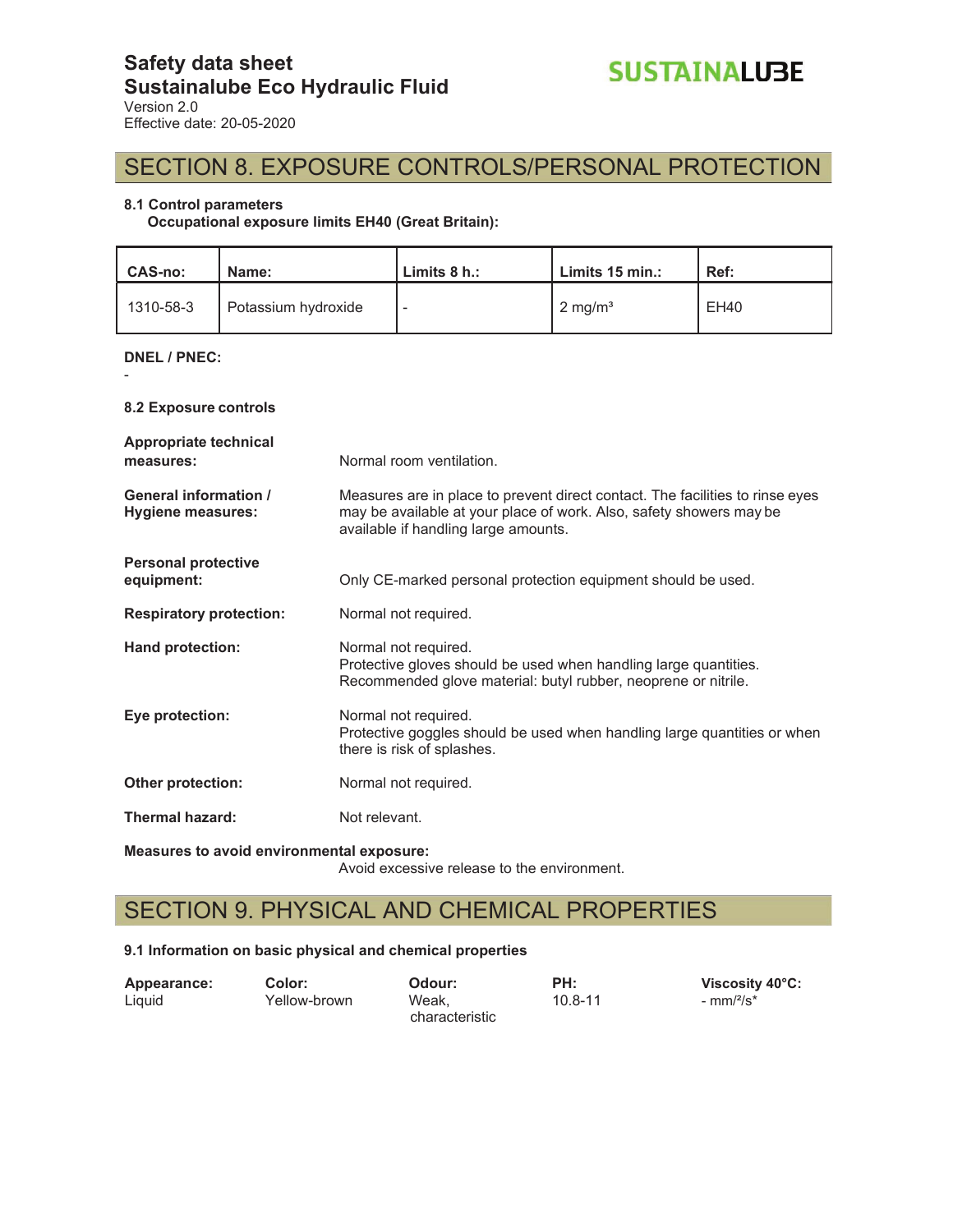## SECTION 8. EXPOSURE CONTROLS/PERSONAL PROTECTION

#### **8.1 Control parameters**

**Occupational exposure limits EH40 (Great Britain):** 

| <b>CAS-no:</b> | Name:               | Limits $8 h$ .: | Limits 15 min.:    | Ref:        |
|----------------|---------------------|-----------------|--------------------|-------------|
| 1310-58-3      | Potassium hydroxide |                 | $2 \text{ mg/m}^3$ | <b>EH40</b> |

**DNEL / PNEC:** 

-

**8.2 Exposure controls** 

| Appropriate technical<br>measures:                | Normal room ventilation.                                                                                                                                                                     |
|---------------------------------------------------|----------------------------------------------------------------------------------------------------------------------------------------------------------------------------------------------|
| <b>General information /</b><br>Hygiene measures: | Measures are in place to prevent direct contact. The facilities to rinse eyes<br>may be available at your place of work. Also, safety showers may be<br>available if handling large amounts. |
| <b>Personal protective</b><br>equipment:          | Only CE-marked personal protection equipment should be used.                                                                                                                                 |
| <b>Respiratory protection:</b>                    | Normal not required.                                                                                                                                                                         |
| <b>Hand protection:</b>                           | Normal not required.<br>Protective gloves should be used when handling large quantities.<br>Recommended glove material: butyl rubber, neoprene or nitrile.                                   |
| Eye protection:                                   | Normal not required.<br>Protective goggles should be used when handling large quantities or when<br>there is risk of splashes.                                                               |
| <b>Other protection:</b>                          | Normal not required.                                                                                                                                                                         |
| <b>Thermal hazard:</b>                            | Not relevant.                                                                                                                                                                                |

**Measures to avoid environmental exposure:**  Avoid excessive release to the environment.

## SECTION 9. PHYSICAL AND CHEMICAL PROPERTIES

#### **9.1 Information on basic physical and chemical properties**

| Appearance: | Color:       | Odour:         | PH:         | Viscosity 40°C: |
|-------------|--------------|----------------|-------------|-----------------|
| Liquid      | Yellow-brown | Weak.          | $10.8 - 11$ | - $mm/2/s*$     |
|             |              | characteristic |             |                 |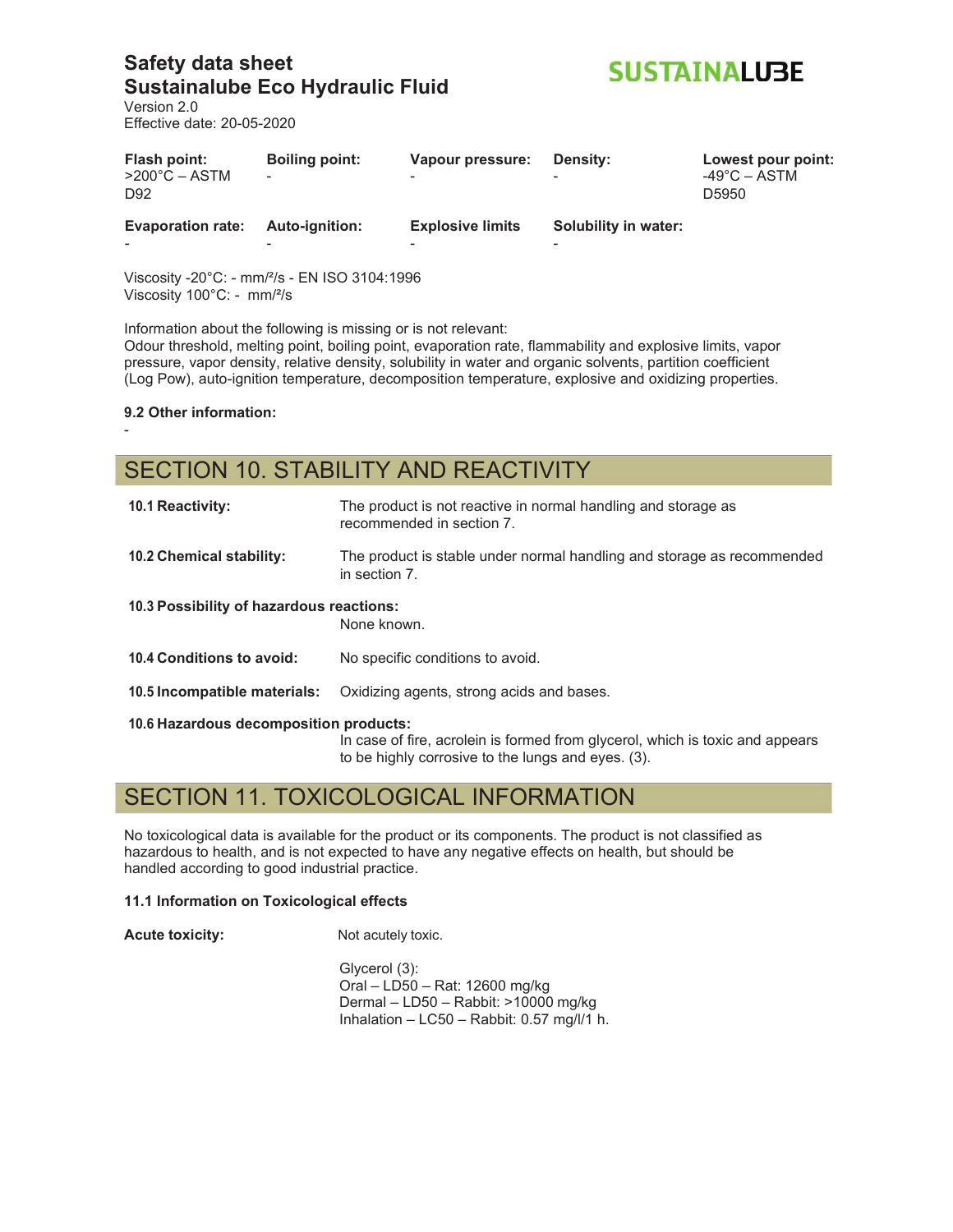**SUSTAINALUBE** 

Version 2.0 Effective date: 20-05-2020

| Flash point:<br>$>200^{\circ}$ C – ASTM<br>D <sub>92</sub> | <b>Boiling point:</b><br>۰ | Vapour pressure:<br>$\overline{\phantom{0}}$ | Density:             | Lowest pour point:<br>$-49^{\circ}$ C – ASTM<br>D5950 |
|------------------------------------------------------------|----------------------------|----------------------------------------------|----------------------|-------------------------------------------------------|
| <b>Evaporation rate:</b>                                   | Auto-ignition:             | <b>Explosive limits</b>                      | Solubility in water: |                                                       |
|                                                            |                            |                                              |                      |                                                       |

Viscosity -20°C: - mm/²/s - EN ISO 3104:1996 Viscosity 100°C: - mm/²/s

Information about the following is missing or is not relevant:

Odour threshold, melting point, boiling point, evaporation rate, flammability and explosive limits, vapor pressure, vapor density, relative density, solubility in water and organic solvents, partition coefficient (Log Pow), auto-ignition temperature, decomposition temperature, explosive and oxidizing properties.

**9.2 Other information:** 

-

## SECTION 10. STABILITY AND REACTIVITY

| <b>10.1 Reactivity:</b>                  | The product is not reactive in normal handling and storage as<br>recommended in section 7.                                          |
|------------------------------------------|-------------------------------------------------------------------------------------------------------------------------------------|
| 10.2 Chemical stability:                 | The product is stable under normal handling and storage as recommended<br>in section 7.                                             |
| 10.3 Possibility of hazardous reactions: | None known.                                                                                                                         |
| 10.4 Conditions to avoid:                | No specific conditions to avoid.                                                                                                    |
| 10.5 Incompatible materials:             | Oxidizing agents, strong acids and bases.                                                                                           |
| 10.6 Hazardous decomposition products:   | In case of fire, acrolein is formed from glycerol, which is toxic and appears<br>to be highly corrosive to the lungs and eyes. (3). |

## SECTION 11. TOXICOLOGICAL INFORMATION

No toxicological data is available for the product or its components. The product is not classified as hazardous to health, and is not expected to have any negative effects on health, but should be handled according to good industrial practice.

#### **11.1 Information on Toxicological effects**

**Acute toxicity:** Not acutely toxic.

Glycerol (3): Oral – LD50 – Rat: 12600 mg/kg Dermal – LD50 – Rabbit: >10000 mg/kg Inhalation – LC50 – Rabbit: 0.57 mg/l/1 h.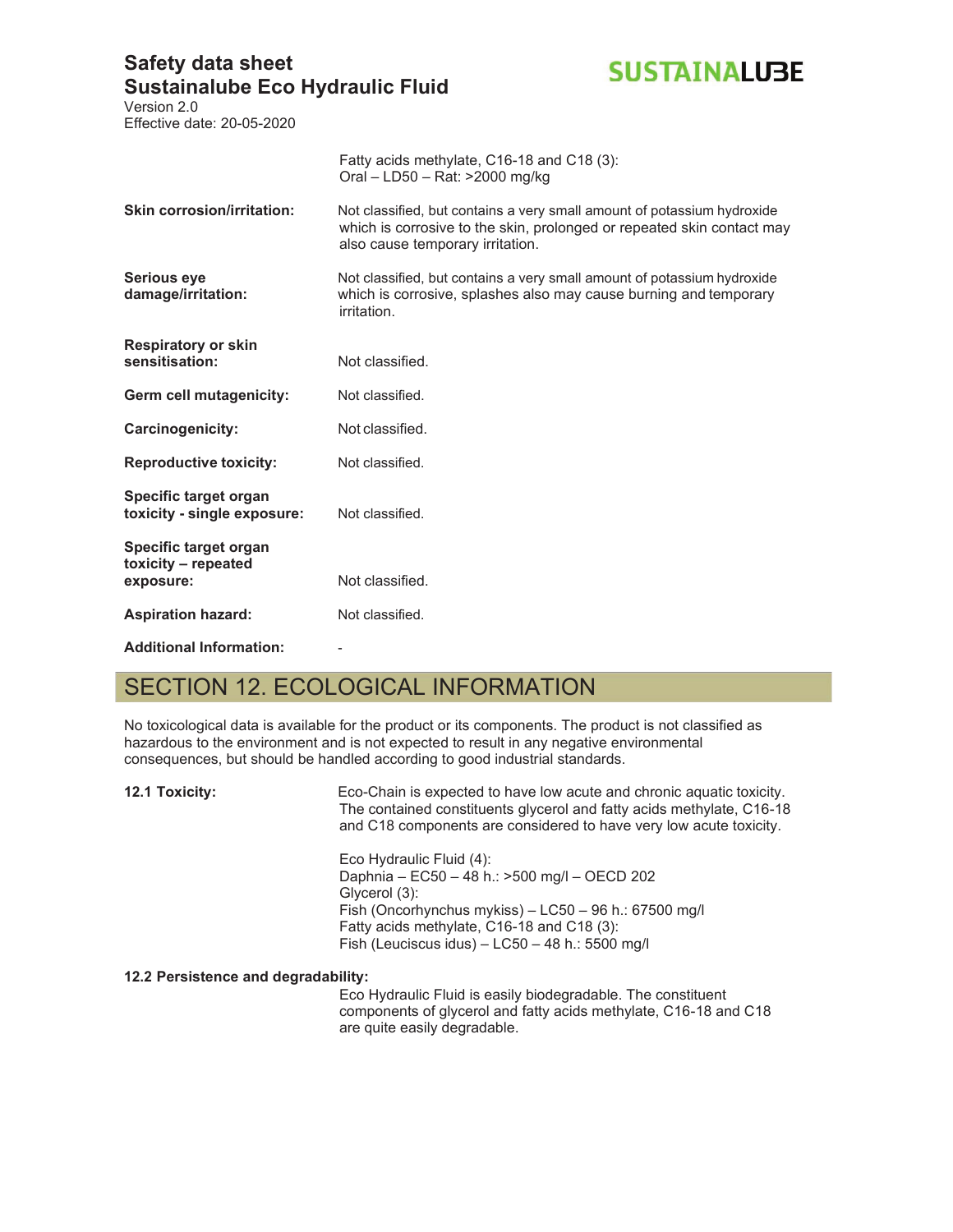

Version 2.0 Effective date: 20-05-2020

|                                                           | Fatty acids methylate, C16-18 and C18 (3):<br>Oral - LD50 - Rat: >2000 mg/kg                                                                                                          |
|-----------------------------------------------------------|---------------------------------------------------------------------------------------------------------------------------------------------------------------------------------------|
| <b>Skin corrosion/irritation:</b>                         | Not classified, but contains a very small amount of potassium hydroxide<br>which is corrosive to the skin, prolonged or repeated skin contact may<br>also cause temporary irritation. |
| <b>Serious eye</b><br>damage/irritation:                  | Not classified, but contains a very small amount of potassium hydroxide<br>which is corrosive, splashes also may cause burning and temporary<br>irritation.                           |
| <b>Respiratory or skin</b><br>sensitisation:              | Not classified.                                                                                                                                                                       |
| Germ cell mutagenicity:                                   | Not classified.                                                                                                                                                                       |
| Carcinogenicity:                                          | Not classified.                                                                                                                                                                       |
| <b>Reproductive toxicity:</b>                             | Not classified.                                                                                                                                                                       |
| Specific target organ<br>toxicity - single exposure:      | Not classified.                                                                                                                                                                       |
| Specific target organ<br>toxicity - repeated<br>exposure: | Not classified.                                                                                                                                                                       |
| <b>Aspiration hazard:</b>                                 | Not classified.                                                                                                                                                                       |
| <b>Additional Information:</b>                            |                                                                                                                                                                                       |

## SECTION 12. ECOLOGICAL INFORMATION

No toxicological data is available for the product or its components. The product is not classified as hazardous to the environment and is not expected to result in any negative environmental consequences, but should be handled according to good industrial standards.

**12.1 Toxicity:** Eco-Chain is expected to have low acute and chronic aquatic toxicity. The contained constituents glycerol and fatty acids methylate, C16-18 and C18 components are considered to have very low acute toxicity.

> Eco Hydraulic Fluid (4): Daphnia – EC50 – 48 h.: >500 mg/l – OECD 202 Glycerol (3): Fish (Oncorhynchus mykiss) – LC50 – 96 h.: 67500 mg/l Fatty acids methylate, C16-18 and C18 (3): Fish (Leuciscus idus) – LC50 – 48 h.: 5500 mg/l

#### **12.2 Persistence and degradability:**

Eco Hydraulic Fluid is easily biodegradable. The constituent components of glycerol and fatty acids methylate, C16-18 and C18 are quite easily degradable.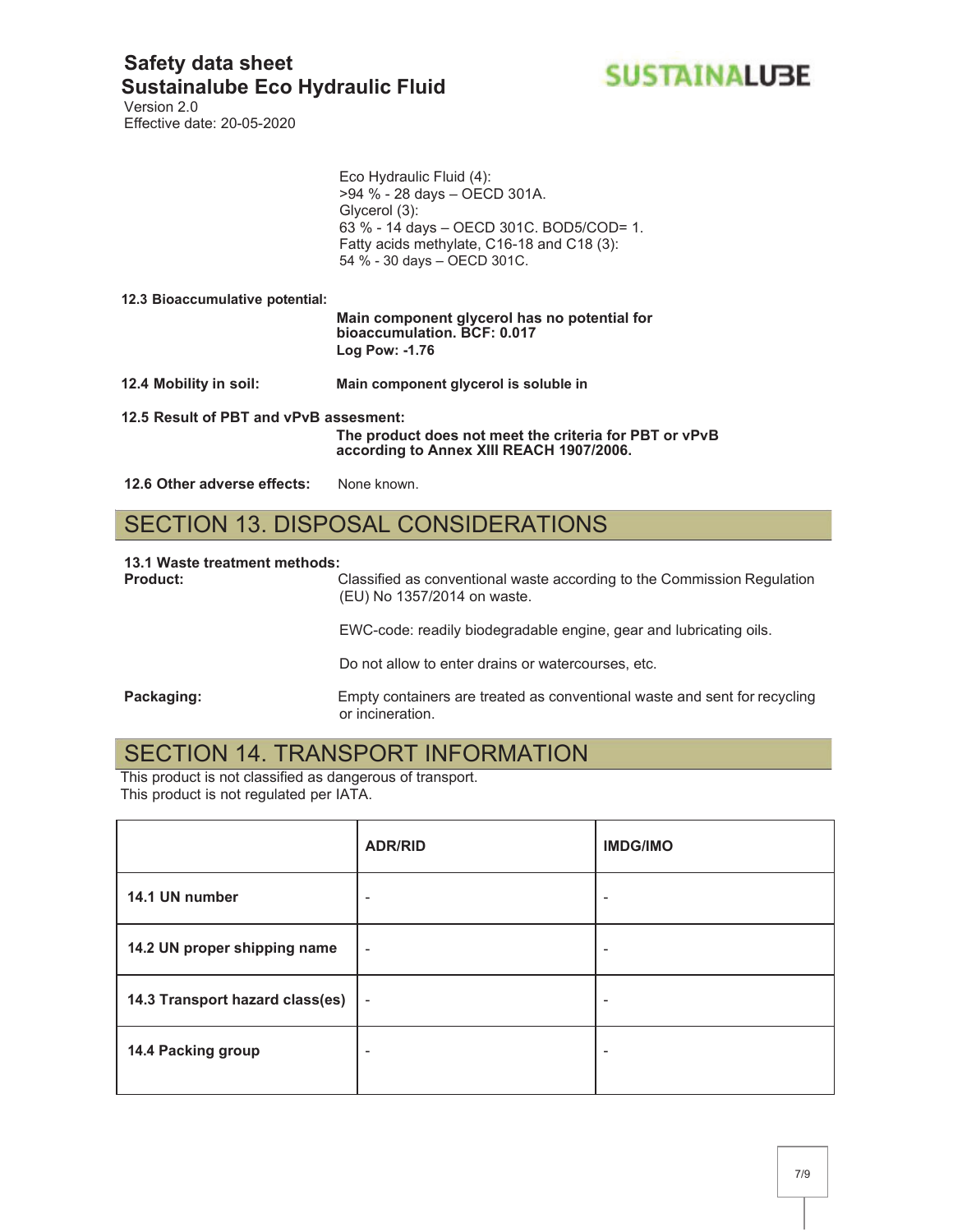

Version 2.0 Effective date: 20-05-2020

|                                        | Eco Hydraulic Fluid (4):<br>>94 % - 28 days - OECD 301A.<br>Glycerol (3):<br>63 % - 14 days - OECD 301C. BOD5/COD= 1.<br>Fatty acids methylate, C16-18 and C18 (3):<br>54 % - 30 days - OECD 301C. |
|----------------------------------------|----------------------------------------------------------------------------------------------------------------------------------------------------------------------------------------------------|
| 12.3 Bioaccumulative potential:        | Main component glycerol has no potential for<br>bioaccumulation. BCF: 0.017                                                                                                                        |
|                                        | Log Pow: -1.76                                                                                                                                                                                     |
| 12.4 Mobility in soil:                 | Main component glycerol is soluble in                                                                                                                                                              |
| 12.5 Result of PBT and vPvB assesment: | The product does not meet the criteria for PBT or vPvB                                                                                                                                             |

**according to Annex XIII REACH 1907/2006.**

12.6 Other adverse effects: None known.

## SECTION 13. DISPOSAL CONSIDERATIONS

#### **13.1 Waste treatment methods:**

**Product:** Classified as conventional waste according to the Commission Regulation (EU) No 1357/2014 on waste.

EWC-code: readily biodegradable engine, gear and lubricating oils.

Do not allow to enter drains or watercourses, etc.

**Packaging:** Empty containers are treated as conventional waste and sent for recycling or incineration.

## SECTION 14. TRANSPORT INFORMATION

This product is not classified as dangerous of transport. This product is not regulated per IATA.

|                                 | <b>ADR/RID</b> | <b>IMDG/IMO</b> |
|---------------------------------|----------------|-----------------|
| 14.1 UN number                  |                | ٠               |
| 14.2 UN proper shipping name    | ٠              | ۰               |
| 14.3 Transport hazard class(es) | $\blacksquare$ |                 |
| 14.4 Packing group              | ۰              | ۰               |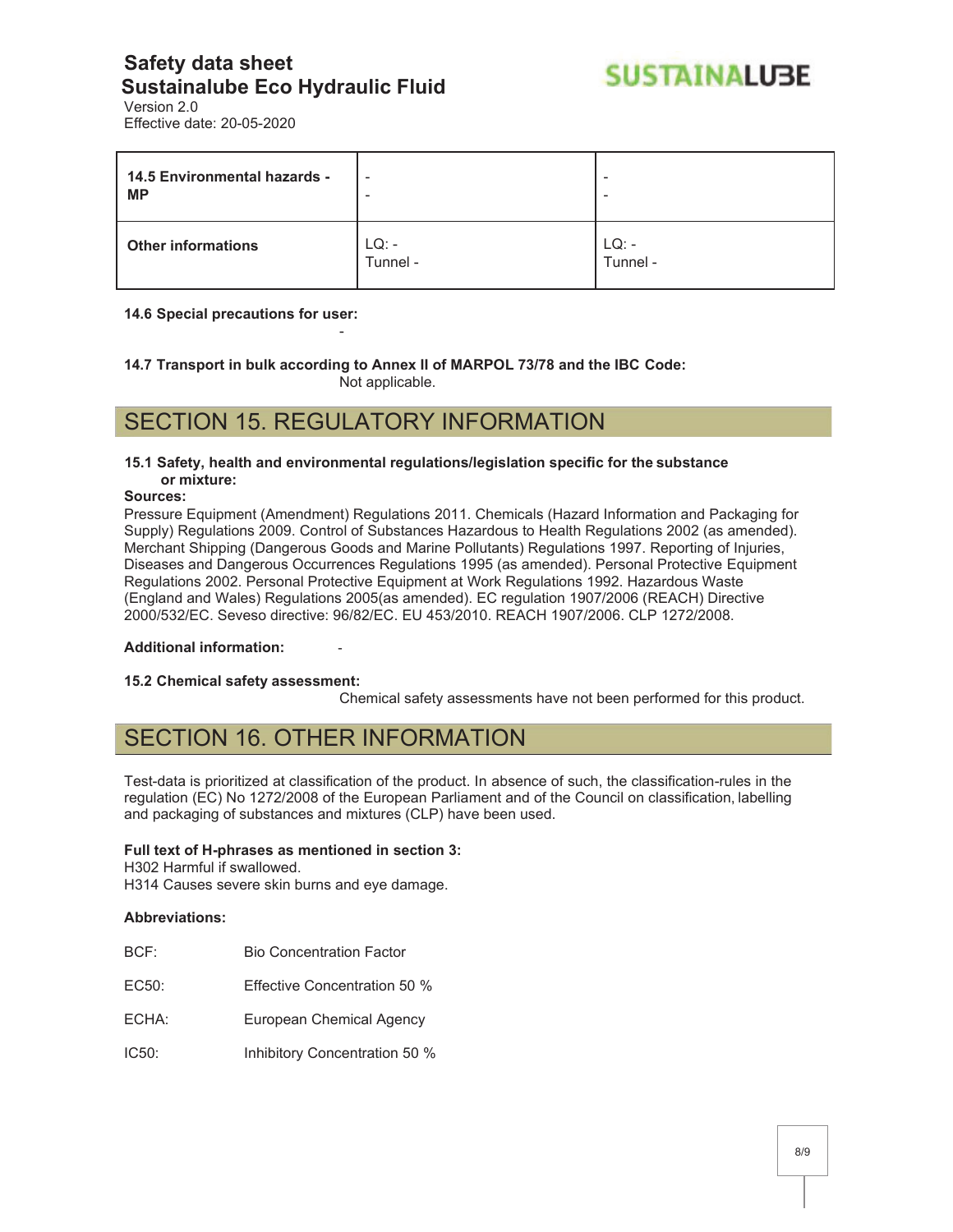

Version 2.0 Effective date: 20-05-2020

| 14.5 Environmental hazards -<br><b>MP</b> | $\overline{\phantom{a}}$ | $\,$<br>$\overline{\phantom{a}}$ |
|-------------------------------------------|--------------------------|----------------------------------|
| <b>Other informations</b>                 | $LQ: -$<br>Tunnel -      | $LQ: -$<br>Tunnel -              |

#### **14.6 Special precautions for user:**

**14.7 Transport in bulk according to Annex II of MARPOL 73/78 and the IBC Code:**  Not applicable.

## SECTION 15. REGULATORY INFORMATION

-

#### **15.1 Safety, health and environmental regulations/legislation specific for the substance or mixture:**

#### **Sources:**

Pressure Equipment (Amendment) Regulations 2011. Chemicals (Hazard Information and Packaging for Supply) Regulations 2009. Control of Substances Hazardous to Health Regulations 2002 (as amended). Merchant Shipping (Dangerous Goods and Marine Pollutants) Regulations 1997. Reporting of Injuries, Diseases and Dangerous Occurrences Regulations 1995 (as amended). Personal Protective Equipment Regulations 2002. Personal Protective Equipment at Work Regulations 1992. Hazardous Waste (England and Wales) Regulations 2005(as amended). EC regulation 1907/2006 (REACH) Directive 2000/532/EC. Seveso directive: 96/82/EC. EU 453/2010. REACH 1907/2006. CLP 1272/2008.

#### **Additional information:** -

#### **15.2 Chemical safety assessment:**

Chemical safety assessments have not been performed for this product.

## SECTION 16. OTHER INFORMATION

Test-data is prioritized at classification of the product. In absence of such, the classification-rules in the regulation (EC) No 1272/2008 of the European Parliament and of the Council on classification, labelling and packaging of substances and mixtures (CLP) have been used.

#### **Full text of H-phrases as mentioned in section 3:**

H302 Harmful if swallowed.

H314 Causes severe skin burns and eye damage.

#### **Abbreviations:**

- BCF: Bio Concentration Factor
- EC50: Effective Concentration 50 %
- ECHA: European Chemical Agency
- IC50: Inhibitory Concentration 50 %